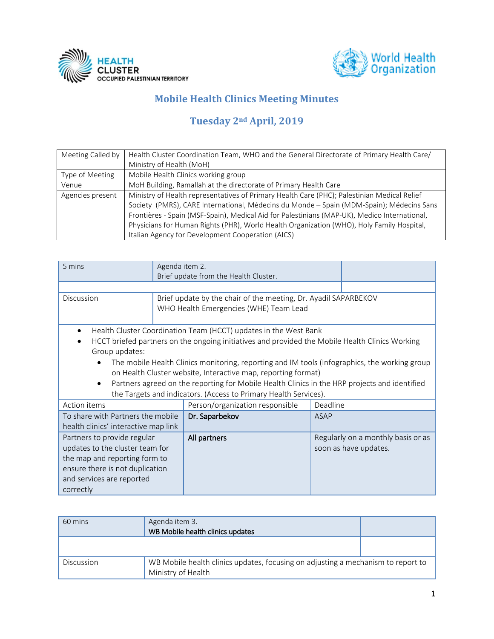



## **Mobile Health Clinics Meeting Minutes**

## **Tuesday 2nd April, 2019**

| Meeting Called by | Health Cluster Coordination Team, WHO and the General Directorate of Primary Health Care/    |
|-------------------|----------------------------------------------------------------------------------------------|
|                   | Ministry of Health (MoH)                                                                     |
| Type of Meeting   | Mobile Health Clinics working group                                                          |
| Venue             | MoH Building, Ramallah at the directorate of Primary Health Care                             |
| Agencies present  | Ministry of Health representatives of Primary Health Care (PHC); Palestinian Medical Relief  |
|                   | Society (PMRS), CARE International, Médecins du Monde - Spain (MDM-Spain); Médecins Sans     |
|                   | Frontières - Spain (MSF-Spain), Medical Aid for Palestinians (MAP-UK), Medico International, |
|                   | Physicians for Human Rights (PHR), World Health Organization (WHO), Holy Family Hospital,    |
|                   | Italian Agency for Development Cooperation (AICS)                                            |

| 5 mins                               | Agenda item 2.                                                                                |                                                                                                 |          |                                    |
|--------------------------------------|-----------------------------------------------------------------------------------------------|-------------------------------------------------------------------------------------------------|----------|------------------------------------|
|                                      |                                                                                               |                                                                                                 |          |                                    |
|                                      |                                                                                               | Brief update from the Health Cluster.                                                           |          |                                    |
|                                      |                                                                                               |                                                                                                 |          |                                    |
| Discussion                           |                                                                                               | Brief update by the chair of the meeting, Dr. Ayadil SAPARBEKOV                                 |          |                                    |
|                                      |                                                                                               | WHO Health Emergencies (WHE) Team Lead                                                          |          |                                    |
|                                      |                                                                                               |                                                                                                 |          |                                    |
| $\bullet$                            |                                                                                               | Health Cluster Coordination Team (HCCT) updates in the West Bank                                |          |                                    |
|                                      |                                                                                               | HCCT briefed partners on the ongoing initiatives and provided the Mobile Health Clinics Working |          |                                    |
| Group updates:                       |                                                                                               |                                                                                                 |          |                                    |
|                                      | The mobile Health Clinics monitoring, reporting and IM tools (Infographics, the working group |                                                                                                 |          |                                    |
|                                      | on Health Cluster website, Interactive map, reporting format)                                 |                                                                                                 |          |                                    |
|                                      |                                                                                               | Partners agreed on the reporting for Mobile Health Clinics in the HRP projects and identified   |          |                                    |
|                                      |                                                                                               | the Targets and indicators. (Access to Primary Health Services).                                |          |                                    |
|                                      |                                                                                               |                                                                                                 |          |                                    |
| Action items                         |                                                                                               | Person/organization responsible                                                                 | Deadline |                                    |
| To share with Partners the mobile    |                                                                                               | Dr. Saparbekov                                                                                  | ASAP     |                                    |
| health clinics' interactive map link |                                                                                               |                                                                                                 |          |                                    |
| Partners to provide regular          |                                                                                               | All partners                                                                                    |          | Regularly on a monthly basis or as |
| updates to the cluster team for      |                                                                                               |                                                                                                 |          | soon as have updates.              |
| the map and reporting form to        |                                                                                               |                                                                                                 |          |                                    |
| ensure there is not duplication      |                                                                                               |                                                                                                 |          |                                    |
| and services are reported            |                                                                                               |                                                                                                 |          |                                    |
| correctly                            |                                                                                               |                                                                                                 |          |                                    |
|                                      |                                                                                               |                                                                                                 |          |                                    |

| 60 mins    | Agenda item 3.<br>WB Mobile health clinics updates                                                     |  |
|------------|--------------------------------------------------------------------------------------------------------|--|
|            |                                                                                                        |  |
| Discussion | WB Mobile health clinics updates, focusing on adjusting a mechanism to report to<br>Ministry of Health |  |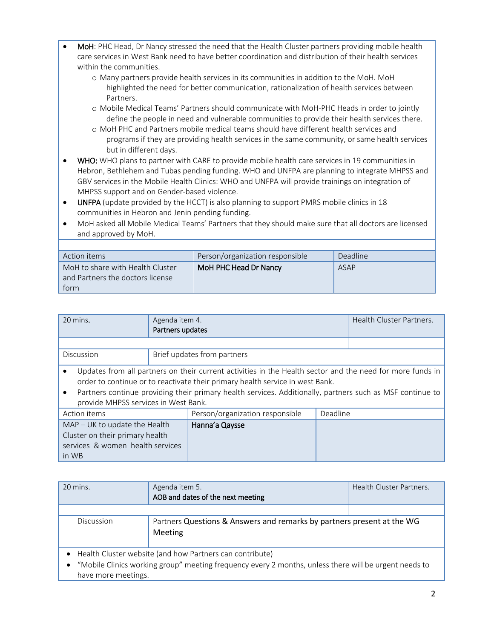- MoH: PHC Head, Dr Nancy stressed the need that the Health Cluster partners providing mobile health care services in West Bank need to have better coordination and distribution of their health services within the communities.
	- o Many partners provide health services in its communities in addition to the MoH. MoH highlighted the need for better communication, rationalization of health services between Partners.
	- o Mobile Medical Teams' Partners should communicate with MoH-PHC Heads in order to jointly define the people in need and vulnerable communities to provide their health services there.
	- o MoH PHC and Partners mobile medical teams should have different health services and programs if they are providing health services in the same community, or same health services but in different days.
- WHO: WHO plans to partner with CARE to provide mobile health care services in 19 communities in Hebron, Bethlehem and Tubas pending funding. WHO and UNFPA are planning to integrate MHPSS and GBV services in the Mobile Health Clinics: WHO and UNFPA will provide trainings on integration of MHPSS support and on Gender-based violence.
- UNFPA (update provided by the HCCT) is also planning to support PMRS mobile clinics in 18 communities in Hebron and Jenin pending funding.
- MoH asked all Mobile Medical Teams' Partners that they should make sure that all doctors are licensed and approved by MoH.

| Action items                                                                 | Person/organization responsible | Deadline |
|------------------------------------------------------------------------------|---------------------------------|----------|
| MoH to share with Health Cluster<br>and Partners the doctors license<br>torm | MoH PHC Head Dr Nancy           | ASAP     |

| 20 mins.                                                                                                                                                                                   | Agenda item 4.              | Health Cluster Partners. |
|--------------------------------------------------------------------------------------------------------------------------------------------------------------------------------------------|-----------------------------|--------------------------|
|                                                                                                                                                                                            | Partners updates            |                          |
|                                                                                                                                                                                            |                             |                          |
| Discussion                                                                                                                                                                                 | Brief updates from partners |                          |
| Updates from all partners on their current activities in the Health sector and the need for more funds in<br>order to continue or to reactivate their primary health service in west Bank. |                             |                          |
| Partners continue providing their primary health services. Additionally, partners such as MSF continue to<br>provide MHPSS services in West Bank.                                          |                             |                          |

| DIOVIDE IVILIF 33 SEI VICES III VVEST DAIIN. |                                 |          |  |
|----------------------------------------------|---------------------------------|----------|--|
| Action items                                 | Person/organization responsible | Deadline |  |
| MAP - UK to update the Health                | Hanna'a Qaysse                  |          |  |
| Cluster on their primary health              |                                 |          |  |
| services & women health services             |                                 |          |  |
| in WB                                        |                                 |          |  |

| 20 mins.            | Agenda item 5.<br>AOB and dates of the next meeting                                                                                                                 | Health Cluster Partners. |
|---------------------|---------------------------------------------------------------------------------------------------------------------------------------------------------------------|--------------------------|
|                     |                                                                                                                                                                     |                          |
| Discussion          | Partners Questions & Answers and remarks by partners present at the WG<br>Meeting                                                                                   |                          |
| have more meetings. | • Health Cluster website (and how Partners can contribute)<br>"Mobile Clinics working group" meeting frequency every 2 months, unless there will be urgent needs to |                          |